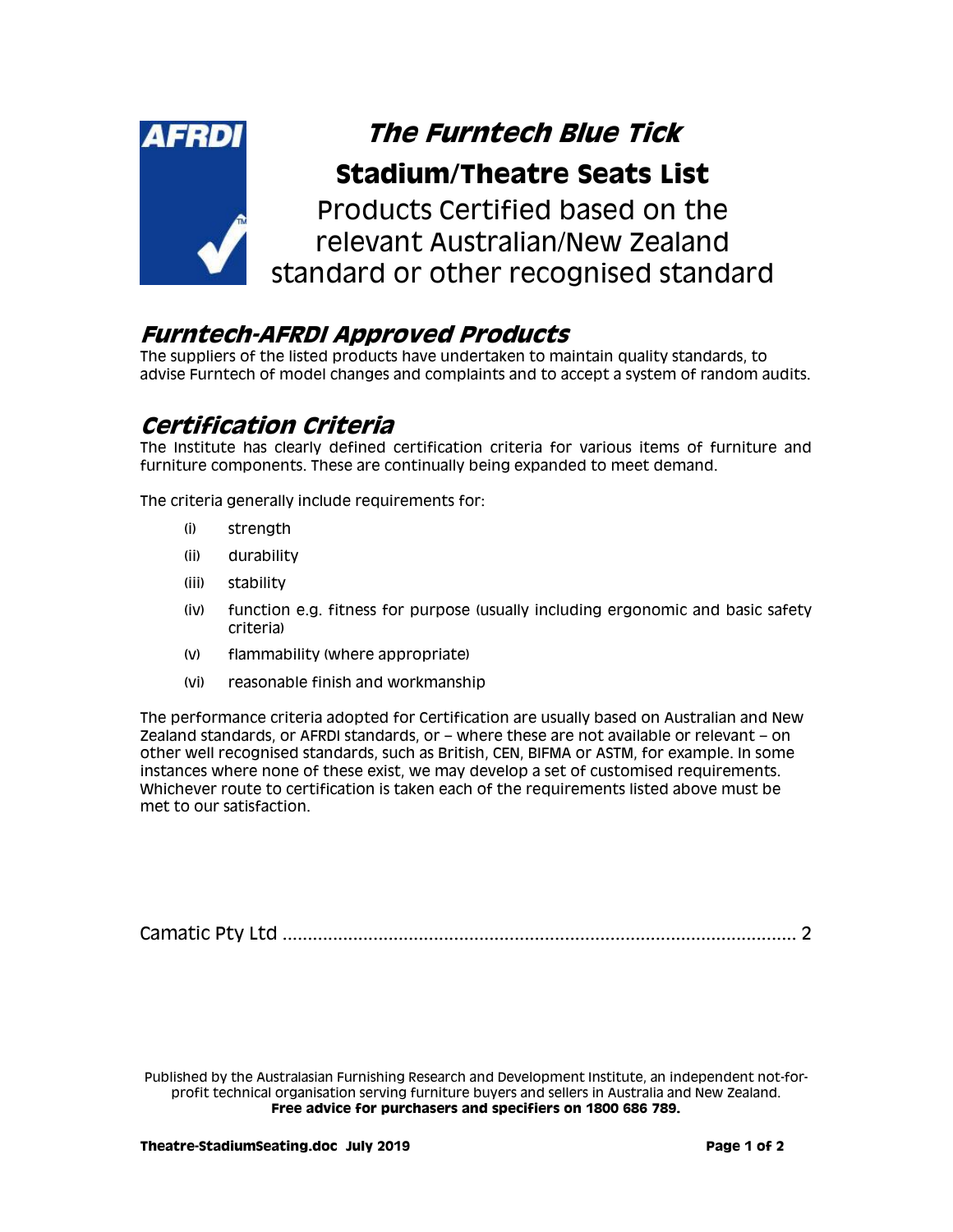

### **Furntech-AFRDI Approved Products**

The suppliers of the listed products have undertaken to maintain quality standards, to advise Furntech of model changes and complaints and to accept a system of random audits.

## **Certification Criteria**

The Institute has clearly defined certification criteria for various items of furniture and furniture components. These are continually being expanded to meet demand.

The criteria generally include requirements for:

- (i) strength
- (ii) durability
- (iii) stability
- (iv) function e.g. fitness for purpose (usually including ergonomic and basic safety criteria)
- (v) flammability (where appropriate)
- (vi) reasonable finish and workmanship

The performance criteria adopted for Certification are usually based on Australian and New Zealand standards, or AFRDI standards, or – where these are not available or relevant – on other well recognised standards, such as British, CEN, BIFMA or ASTM, for example. In some instances where none of these exist, we may develop a set of customised requirements. Whichever route to certification is taken each of the requirements listed above must be met to our satisfaction.

Camatic Pty Ltd [......................................................................................................](#page-1-0) 2

Published by the Australasian Furnishing Research and Development Institute, an independent not-forprofit technical organisation serving furniture buyers and sellers in Australia and New Zealand. **Free advice for purchasers and specifiers on 1800 686 789.**